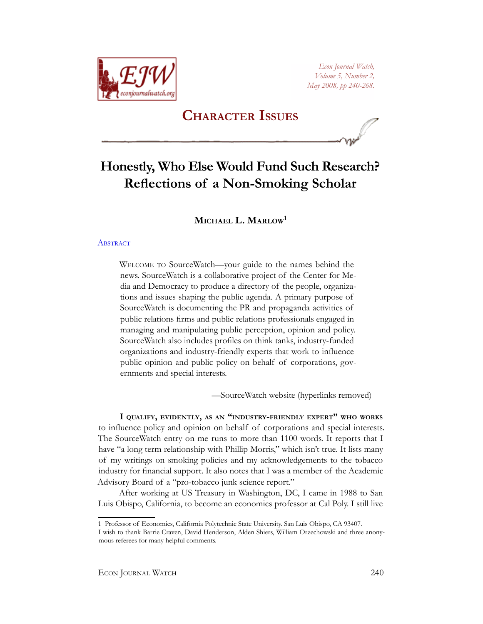

*Econ Journal Watch, Volume 5, Number 2, May 2008, pp 240-268.*

## **Character Issues**

# **Honestly, Who Else Would Fund Such Research? Reflections of a Non-Smoking Scholar**

## **Michael L. Marlow<sup>1</sup>**

## **ABSTRACT**

Welcome to SourceWatch—your guide to the names behind the news. SourceWatch is a collaborative project of the Center for Media and Democracy to produce a directory of the people, organizations and issues shaping the public agenda. A primary purpose of SourceWatch is documenting the PR and propaganda activities of public relations firms and public relations professionals engaged in managing and manipulating public perception, opinion and policy. SourceWatch also includes profiles on think tanks, industry-funded organizations and industry-friendly experts that work to influence public opinion and public policy on behalf of corporations, governments and special interests.

—SourceWatch website (hyperlinks removed)

**I qualify, evidently, as an "industry-friendly expert" who works** to influence policy and opinion on behalf of corporations and special interests. The SourceWatch entry on me runs to more than 1100 words. It reports that I have "a long term relationship with Phillip Morris," which isn't true. It lists many of my writings on smoking policies and my acknowledgements to the tobacco industry for financial support. It also notes that I was a member of the Academic Advisory Board of a "pro-tobacco junk science report."

After working at US Treasury in Washington, DC, I came in 1988 to San Luis Obispo, California, to become an economics professor at Cal Poly. I still live

<sup>1</sup> Professor of Economics, California Polytechnic State University. San Luis Obispo, CA 93407.

I wish to thank Barrie Craven, David Henderson, Alden Shiers, William Orzechowski and three anonymous referees for many helpful comments.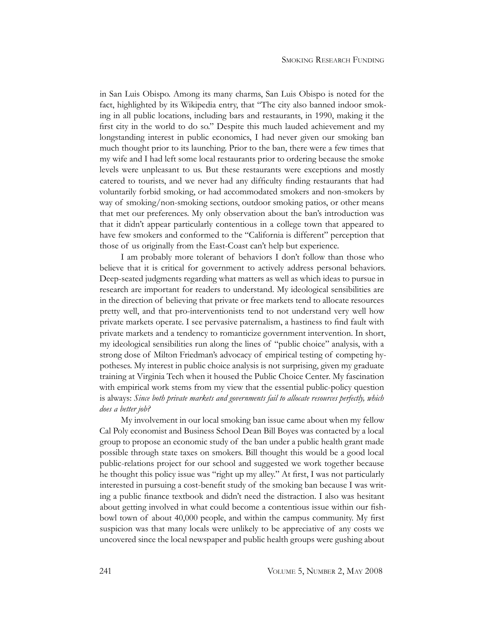in San Luis Obispo. Among its many charms, San Luis Obispo is noted for the fact, highlighted by its Wikipedia entry, that "The city also banned indoor smoking in all public locations, including bars and restaurants, in 1990, making it the first city in the world to do so." Despite this much lauded achievement and my longstanding interest in public economics, I had never given our smoking ban much thought prior to its launching. Prior to the ban, there were a few times that my wife and I had left some local restaurants prior to ordering because the smoke levels were unpleasant to us. But these restaurants were exceptions and mostly catered to tourists, and we never had any difficulty finding restaurants that had voluntarily forbid smoking, or had accommodated smokers and non-smokers by way of smoking/non-smoking sections, outdoor smoking patios, or other means that met our preferences. My only observation about the ban's introduction was that it didn't appear particularly contentious in a college town that appeared to have few smokers and conformed to the "California is different" perception that those of us originally from the East-Coast can't help but experience.

I am probably more tolerant of behaviors I don't follow than those who believe that it is critical for government to actively address personal behaviors. Deep-seated judgments regarding what matters as well as which ideas to pursue in research are important for readers to understand. My ideological sensibilities are in the direction of believing that private or free markets tend to allocate resources pretty well, and that pro-interventionists tend to not understand very well how private markets operate. I see pervasive paternalism, a hastiness to find fault with private markets and a tendency to romanticize government intervention. In short, my ideological sensibilities run along the lines of "public choice" analysis, with a strong dose of Milton Friedman's advocacy of empirical testing of competing hypotheses. My interest in public choice analysis is not surprising, given my graduate training at Virginia Tech when it housed the Public Choice Center. My fascination with empirical work stems from my view that the essential public-policy question is always: *Since both private markets and governments fail to allocate resources perfectly, which does a better job?*

My involvement in our local smoking ban issue came about when my fellow Cal Poly economist and Business School Dean Bill Boyes was contacted by a local group to propose an economic study of the ban under a public health grant made possible through state taxes on smokers. Bill thought this would be a good local public-relations project for our school and suggested we work together because he thought this policy issue was "right up my alley." At first, I was not particularly interested in pursuing a cost-benefit study of the smoking ban because I was writing a public finance textbook and didn't need the distraction. I also was hesitant about getting involved in what could become a contentious issue within our fishbowl town of about 40,000 people, and within the campus community. My first suspicion was that many locals were unlikely to be appreciative of any costs we uncovered since the local newspaper and public health groups were gushing about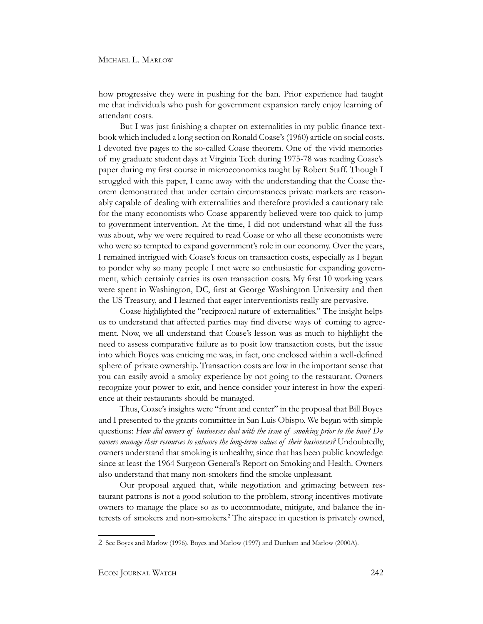how progressive they were in pushing for the ban. Prior experience had taught me that individuals who push for government expansion rarely enjoy learning of attendant costs.

But I was just finishing a chapter on externalities in my public finance textbook which included a long section on Ronald Coase's (1960) article on social costs. I devoted five pages to the so-called Coase theorem. One of the vivid memories of my graduate student days at Virginia Tech during 1975-78 was reading Coase's paper during my first course in microeconomics taught by Robert Staff. Though I struggled with this paper, I came away with the understanding that the Coase theorem demonstrated that under certain circumstances private markets are reasonably capable of dealing with externalities and therefore provided a cautionary tale for the many economists who Coase apparently believed were too quick to jump to government intervention. At the time, I did not understand what all the fuss was about, why we were required to read Coase or who all these economists were who were so tempted to expand government's role in our economy. Over the years, I remained intrigued with Coase's focus on transaction costs, especially as I began to ponder why so many people I met were so enthusiastic for expanding government, which certainly carries its own transaction costs. My first 10 working years were spent in Washington, DC, first at George Washington University and then the US Treasury, and I learned that eager interventionists really are pervasive.

Coase highlighted the "reciprocal nature of externalities." The insight helps us to understand that affected parties may find diverse ways of coming to agreement. Now, we all understand that Coase's lesson was as much to highlight the need to assess comparative failure as to posit low transaction costs, but the issue into which Boyes was enticing me was, in fact, one enclosed within a well-defined sphere of private ownership. Transaction costs are low in the important sense that you can easily avoid a smoky experience by not going to the restaurant. Owners recognize your power to exit, and hence consider your interest in how the experience at their restaurants should be managed.

Thus, Coase's insights were "front and center" in the proposal that Bill Boyes and I presented to the grants committee in San Luis Obispo. We began with simple questions: *How did owners of businesses deal with the issue of smoking prior to the ban? Do owners manage their resources to enhance the long-term values of their businesses?* Undoubtedly, owners understand that smoking is unhealthy, since that has been public knowledge since at least the 1964 Surgeon General's Report on Smoking and Health. Owners also understand that many non-smokers find the smoke unpleasant.

Our proposal argued that, while negotiation and grimacing between restaurant patrons is not a good solution to the problem, strong incentives motivate owners to manage the place so as to accommodate, mitigate, and balance the interests of smokers and non-smokers.2 The airspace in question is privately owned,

<sup>2</sup> See Boyes and Marlow (1996), Boyes and Marlow (1997) and Dunham and Marlow (2000A).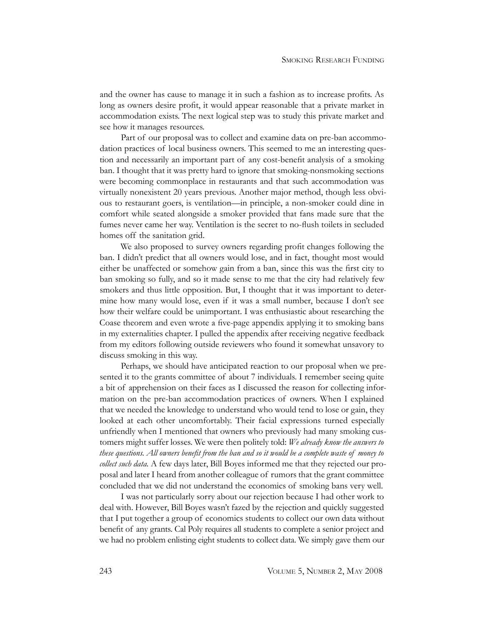and the owner has cause to manage it in such a fashion as to increase profits. As long as owners desire profit, it would appear reasonable that a private market in accommodation exists. The next logical step was to study this private market and see how it manages resources.

Part of our proposal was to collect and examine data on pre-ban accommodation practices of local business owners. This seemed to me an interesting question and necessarily an important part of any cost-benefit analysis of a smoking ban. I thought that it was pretty hard to ignore that smoking-nonsmoking sections were becoming commonplace in restaurants and that such accommodation was virtually nonexistent 20 years previous. Another major method, though less obvious to restaurant goers, is ventilation—in principle, a non-smoker could dine in comfort while seated alongside a smoker provided that fans made sure that the fumes never came her way. Ventilation is the secret to no-flush toilets in secluded homes off the sanitation grid.

We also proposed to survey owners regarding profit changes following the ban. I didn't predict that all owners would lose, and in fact, thought most would either be unaffected or somehow gain from a ban, since this was the first city to ban smoking so fully, and so it made sense to me that the city had relatively few smokers and thus little opposition. But, I thought that it was important to determine how many would lose, even if it was a small number, because I don't see how their welfare could be unimportant. I was enthusiastic about researching the Coase theorem and even wrote a five-page appendix applying it to smoking bans in my externalities chapter. I pulled the appendix after receiving negative feedback from my editors following outside reviewers who found it somewhat unsavory to discuss smoking in this way.

Perhaps, we should have anticipated reaction to our proposal when we presented it to the grants committee of about 7 individuals. I remember seeing quite a bit of apprehension on their faces as I discussed the reason for collecting information on the pre-ban accommodation practices of owners. When I explained that we needed the knowledge to understand who would tend to lose or gain, they looked at each other uncomfortably. Their facial expressions turned especially unfriendly when I mentioned that owners who previously had many smoking customers might suffer losses. We were then politely told: *We already know the answers to these questions. All owners benefit from the ban and so it would be a complete waste of money to collect such data.* A few days later, Bill Boyes informed me that they rejected our proposal and later I heard from another colleague of rumors that the grant committee concluded that we did not understand the economics of smoking bans very well.

I was not particularly sorry about our rejection because I had other work to deal with. However, Bill Boyes wasn't fazed by the rejection and quickly suggested that I put together a group of economics students to collect our own data without benefit of any grants. Cal Poly requires all students to complete a senior project and we had no problem enlisting eight students to collect data. We simply gave them our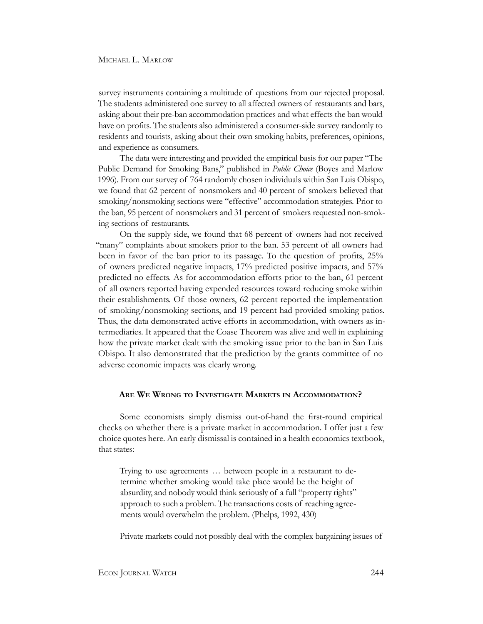survey instruments containing a multitude of questions from our rejected proposal. The students administered one survey to all affected owners of restaurants and bars, asking about their pre-ban accommodation practices and what effects the ban would have on profits. The students also administered a consumer-side survey randomly to residents and tourists, asking about their own smoking habits, preferences, opinions, and experience as consumers.

The data were interesting and provided the empirical basis for our paper "The Public Demand for Smoking Bans," published in *Public Choice* (Boyes and Marlow 1996). From our survey of 764 randomly chosen individuals within San Luis Obispo, we found that 62 percent of nonsmokers and 40 percent of smokers believed that smoking/nonsmoking sections were "effective" accommodation strategies. Prior to the ban, 95 percent of nonsmokers and 31 percent of smokers requested non-smoking sections of restaurants.

On the supply side, we found that 68 percent of owners had not received "many" complaints about smokers prior to the ban. 53 percent of all owners had been in favor of the ban prior to its passage. To the question of profits, 25% of owners predicted negative impacts, 17% predicted positive impacts, and 57% predicted no effects. As for accommodation efforts prior to the ban, 61 percent of all owners reported having expended resources toward reducing smoke within their establishments. Of those owners, 62 percent reported the implementation of smoking/nonsmoking sections, and 19 percent had provided smoking patios. Thus, the data demonstrated active efforts in accommodation, with owners as intermediaries. It appeared that the Coase Theorem was alive and well in explaining how the private market dealt with the smoking issue prior to the ban in San Luis Obispo. It also demonstrated that the prediction by the grants committee of no adverse economic impacts was clearly wrong.

#### **Are We Wrong to Investigate Markets in Accommodation?**

Some economists simply dismiss out-of-hand the first-round empirical checks on whether there is a private market in accommodation. I offer just a few choice quotes here. An early dismissal is contained in a health economics textbook, that states:

Trying to use agreements … between people in a restaurant to determine whether smoking would take place would be the height of absurdity, and nobody would think seriously of a full "property rights" approach to such a problem. The transactions costs of reaching agreements would overwhelm the problem. (Phelps, 1992, 430)

Private markets could not possibly deal with the complex bargaining issues of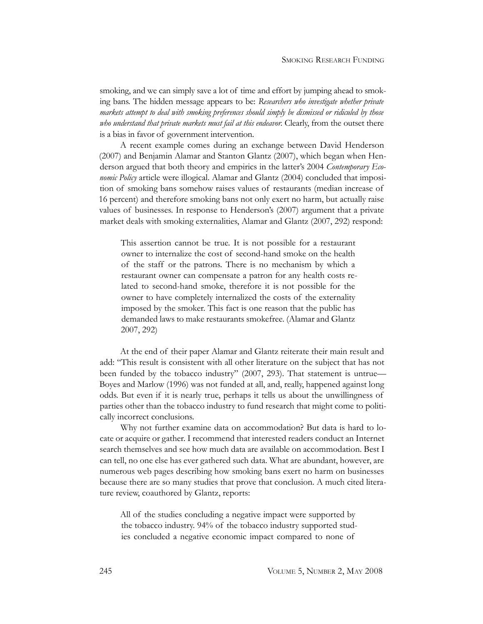smoking, and we can simply save a lot of time and effort by jumping ahead to smoking bans. The hidden message appears to be: *Researchers who investigate whether private markets attempt to deal with smoking preferences should simply be dismissed or ridiculed by those who understand that private markets must fail at this endeavor.* Clearly, from the outset there is a bias in favor of government intervention.

A recent example comes during an exchange between David Henderson (2007) and Benjamin Alamar and Stanton Glantz (2007), which began when Henderson argued that both theory and empirics in the latter's 2004 *Contemporary Economic Policy* article were illogical. Alamar and Glantz (2004) concluded that imposition of smoking bans somehow raises values of restaurants (median increase of 16 percent) and therefore smoking bans not only exert no harm, but actually raise values of businesses. In response to Henderson's (2007) argument that a private market deals with smoking externalities, Alamar and Glantz (2007, 292) respond:

This assertion cannot be true. It is not possible for a restaurant owner to internalize the cost of second-hand smoke on the health of the staff or the patrons. There is no mechanism by which a restaurant owner can compensate a patron for any health costs related to second-hand smoke, therefore it is not possible for the owner to have completely internalized the costs of the externality imposed by the smoker. This fact is one reason that the public has demanded laws to make restaurants smokefree. (Alamar and Glantz 2007, 292)

At the end of their paper Alamar and Glantz reiterate their main result and add: "This result is consistent with all other literature on the subject that has not been funded by the tobacco industry" (2007, 293). That statement is untrue— Boyes and Marlow (1996) was not funded at all, and, really, happened against long odds. But even if it is nearly true, perhaps it tells us about the unwillingness of parties other than the tobacco industry to fund research that might come to politically incorrect conclusions.

Why not further examine data on accommodation? But data is hard to locate or acquire or gather. I recommend that interested readers conduct an Internet search themselves and see how much data are available on accommodation. Best I can tell, no one else has ever gathered such data. What are abundant, however, are numerous web pages describing how smoking bans exert no harm on businesses because there are so many studies that prove that conclusion. A much cited literature review, coauthored by Glantz, reports:

All of the studies concluding a negative impact were supported by the tobacco industry. 94% of the tobacco industry supported studies concluded a negative economic impact compared to none of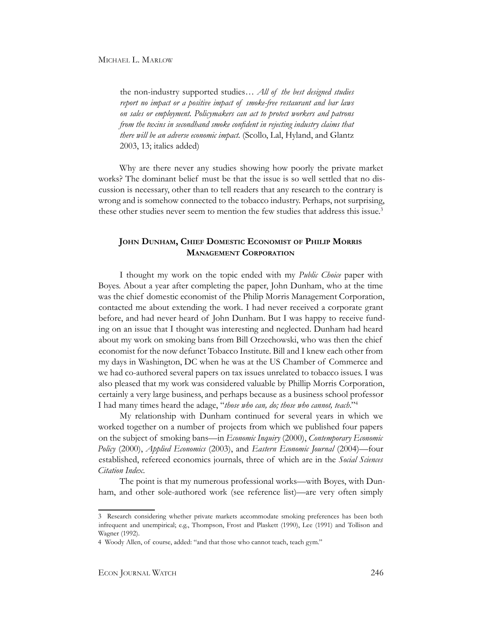the non-industry supported studies… *All of the best designed studies report no impact or a positive impact of smoke-free restaurant and bar laws on sales or employment. Policymakers can act to protect workers and patrons from the toxins in secondhand smoke confident in rejecting industry claims that there will be an adverse economic impact.* (Scollo, Lal, Hyland, and Glantz 2003, 13; italics added)

Why are there never any studies showing how poorly the private market works? The dominant belief must be that the issue is so well settled that no discussion is necessary, other than to tell readers that any research to the contrary is wrong and is somehow connected to the tobacco industry. Perhaps, not surprising, these other studies never seem to mention the few studies that address this issue.<sup>3</sup>

## **John Dunham, Chief Domestic Economist of Philip Morris Management Corporation**

I thought my work on the topic ended with my *Public Choice* paper with Boyes. About a year after completing the paper, John Dunham, who at the time was the chief domestic economist of the Philip Morris Management Corporation, contacted me about extending the work. I had never received a corporate grant before, and had never heard of John Dunham. But I was happy to receive funding on an issue that I thought was interesting and neglected. Dunham had heard about my work on smoking bans from Bill Orzechowski, who was then the chief economist for the now defunct Tobacco Institute. Bill and I knew each other from my days in Washington, DC when he was at the US Chamber of Commerce and we had co-authored several papers on tax issues unrelated to tobacco issues. I was also pleased that my work was considered valuable by Phillip Morris Corporation, certainly a very large business, and perhaps because as a business school professor I had many times heard the adage, "*those who can, do; those who cannot, teach*."4

My relationship with Dunham continued for several years in which we worked together on a number of projects from which we published four papers on the subject of smoking bans—in *Economic Inquiry* (2000), *Contemporary Economic Policy* (2000), *Applied Economics* (2003), and *Eastern Economic Journal* (2004)—four established, refereed economics journals, three of which are in the *Social Sciences Citation Index*.

The point is that my numerous professional works—with Boyes, with Dunham, and other sole-authored work (see reference list)—are very often simply

<sup>3</sup> Research considering whether private markets accommodate smoking preferences has been both infrequent and unempirical; e.g., Thompson, Frost and Plaskett (1990), Lee (1991) and Tollison and Wagner (1992).

<sup>4</sup> Woody Allen, of course, added: "and that those who cannot teach, teach gym."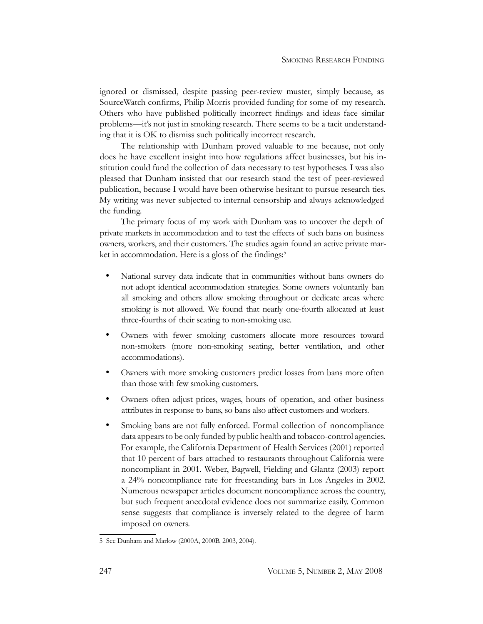ignored or dismissed, despite passing peer-review muster, simply because, as SourceWatch confirms, Philip Morris provided funding for some of my research. Others who have published politically incorrect findings and ideas face similar problems—it's not just in smoking research. There seems to be a tacit understanding that it is OK to dismiss such politically incorrect research.

The relationship with Dunham proved valuable to me because, not only does he have excellent insight into how regulations affect businesses, but his institution could fund the collection of data necessary to test hypotheses. I was also pleased that Dunham insisted that our research stand the test of peer-reviewed publication, because I would have been otherwise hesitant to pursue research ties. My writing was never subjected to internal censorship and always acknowledged the funding.

The primary focus of my work with Dunham was to uncover the depth of private markets in accommodation and to test the effects of such bans on business owners, workers, and their customers. The studies again found an active private market in accommodation. Here is a gloss of the findings:<sup>5</sup>

- National survey data indicate that in communities without bans owners do not adopt identical accommodation strategies. Some owners voluntarily ban all smoking and others allow smoking throughout or dedicate areas where smoking is not allowed. We found that nearly one-fourth allocated at least three-fourths of their seating to non-smoking use.
- Owners with fewer smoking customers allocate more resources toward non-smokers (more non-smoking seating, better ventilation, and other accommodations).
- Owners with more smoking customers predict losses from bans more often than those with few smoking customers.
- Owners often adjust prices, wages, hours of operation, and other business attributes in response to bans, so bans also affect customers and workers.
- Smoking bans are not fully enforced. Formal collection of noncompliance data appears to be only funded by public health and tobacco-control agencies. For example, the California Department of Health Services (2001) reported that 10 percent of bars attached to restaurants throughout California were noncompliant in 2001. Weber, Bagwell, Fielding and Glantz (2003) report a 24% noncompliance rate for freestanding bars in Los Angeles in 2002. Numerous newspaper articles document noncompliance across the country, but such frequent anecdotal evidence does not summarize easily. Common sense suggests that compliance is inversely related to the degree of harm imposed on owners.

<sup>5</sup> See Dunham and Marlow (2000A, 2000B, 2003, 2004).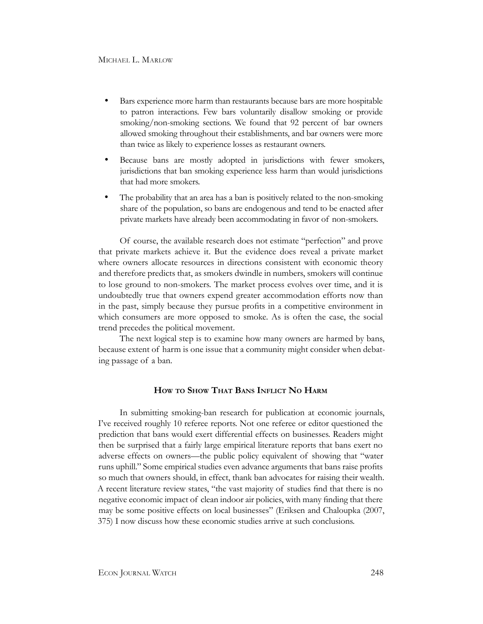- Bars experience more harm than restaurants because bars are more hospitable to patron interactions. Few bars voluntarily disallow smoking or provide smoking/non-smoking sections. We found that 92 percent of bar owners allowed smoking throughout their establishments, and bar owners were more than twice as likely to experience losses as restaurant owners.
- Because bans are mostly adopted in jurisdictions with fewer smokers, jurisdictions that ban smoking experience less harm than would jurisdictions that had more smokers.
- The probability that an area has a ban is positively related to the non-smoking share of the population, so bans are endogenous and tend to be enacted after private markets have already been accommodating in favor of non-smokers.

Of course, the available research does not estimate "perfection" and prove that private markets achieve it. But the evidence does reveal a private market where owners allocate resources in directions consistent with economic theory and therefore predicts that, as smokers dwindle in numbers, smokers will continue to lose ground to non-smokers. The market process evolves over time, and it is undoubtedly true that owners expend greater accommodation efforts now than in the past, simply because they pursue profits in a competitive environment in which consumers are more opposed to smoke. As is often the case, the social trend precedes the political movement.

The next logical step is to examine how many owners are harmed by bans, because extent of harm is one issue that a community might consider when debating passage of a ban.

#### **How to Show That Bans Inflict No Harm**

In submitting smoking-ban research for publication at economic journals, I've received roughly 10 referee reports. Not one referee or editor questioned the prediction that bans would exert differential effects on businesses. Readers might then be surprised that a fairly large empirical literature reports that bans exert no adverse effects on owners—the public policy equivalent of showing that "water runs uphill." Some empirical studies even advance arguments that bans raise profits so much that owners should, in effect, thank ban advocates for raising their wealth. A recent literature review states, "the vast majority of studies find that there is no negative economic impact of clean indoor air policies, with many finding that there may be some positive effects on local businesses" (Eriksen and Chaloupka (2007, 375) I now discuss how these economic studies arrive at such conclusions.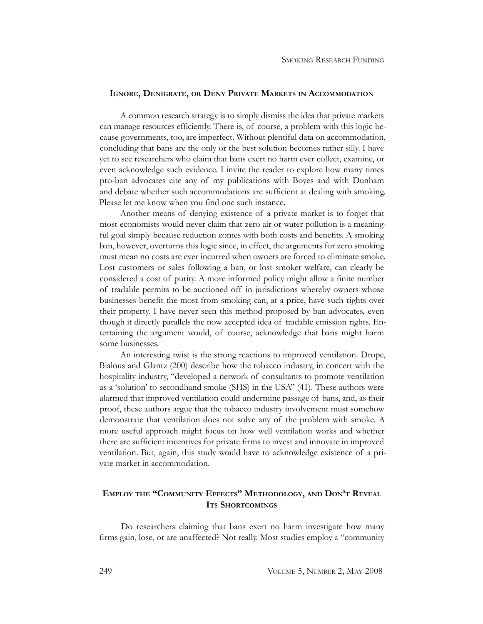#### **Ignore, Denigrate, or Deny Private Markets in Accommodation**

A common research strategy is to simply dismiss the idea that private markets can manage resources efficiently. There is, of course, a problem with this logic because governments, too, are imperfect. Without plentiful data on accommodation, concluding that bans are the only or the best solution becomes rather silly. I have yet to see researchers who claim that bans exert no harm ever collect, examine, or even acknowledge such evidence. I invite the reader to explore how many times pro-ban advocates cite any of my publications with Boyes and with Dunham and debate whether such accommodations are sufficient at dealing with smoking. Please let me know when you find one such instance.

Another means of denying existence of a private market is to forget that most economists would never claim that zero air or water pollution is a meaningful goal simply because reduction comes with both costs and benefits. A smoking ban, however, overturns this logic since, in effect, the arguments for zero smoking must mean no costs are ever incurred when owners are forced to eliminate smoke. Lost customers or sales following a ban, or lost smoker welfare, can clearly be considered a cost of purity. A more informed policy might allow a finite number of tradable permits to be auctioned off in jurisdictions whereby owners whose businesses benefit the most from smoking can, at a price, have such rights over their property. I have never seen this method proposed by ban advocates, even though it directly parallels the now accepted idea of tradable emission rights. Entertaining the argument would, of course, acknowledge that bans might harm some businesses.

An interesting twist is the strong reactions to improved ventilation. Drope, Bialous and Glantz (200) describe how the tobacco industry, in concert with the hospitality industry, "developed a network of consultants to promote ventilation as a 'solution' to secondhand smoke (SHS) in the USA" (41). These authors were alarmed that improved ventilation could undermine passage of bans, and, as their proof, these authors argue that the tobacco industry involvement must somehow demonstrate that ventilation does not solve any of the problem with smoke. A more useful approach might focus on how well ventilation works and whether there are sufficient incentives for private firms to invest and innovate in improved ventilation. But, again, this study would have to acknowledge existence of a private market in accommodation.

## **Employ the "Community Effects" Methodology, and Don't Reveal Its Shortcomings**

Do researchers claiming that bans exert no harm investigate how many firms gain, lose, or are unaffected? Not really. Most studies employ a "community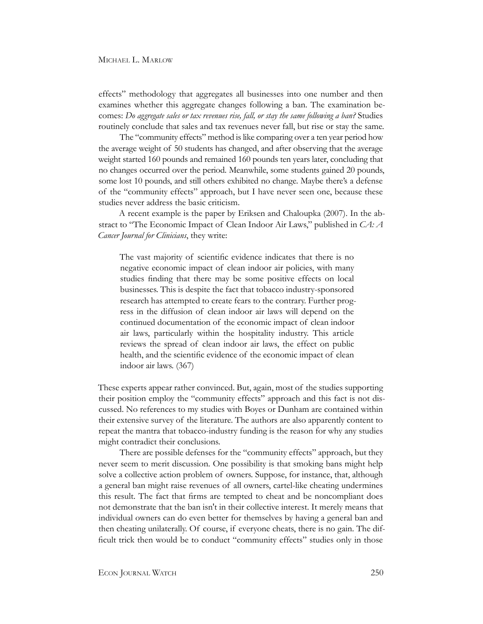effects" methodology that aggregates all businesses into one number and then examines whether this aggregate changes following a ban. The examination becomes: *Do aggregate sales or tax revenues rise, fall, or stay the same following a ban?* Studies routinely conclude that sales and tax revenues never fall, but rise or stay the same.

The "community effects" method is like comparing over a ten year period how the average weight of 50 students has changed, and after observing that the average weight started 160 pounds and remained 160 pounds ten years later, concluding that no changes occurred over the period. Meanwhile, some students gained 20 pounds, some lost 10 pounds, and still others exhibited no change. Maybe there's a defense of the "community effects" approach, but I have never seen one, because these studies never address the basic criticism.

A recent example is the paper by Eriksen and Chaloupka (2007). In the abstract to "The Economic Impact of Clean Indoor Air Laws," published in *CA: A Cancer Journal for Clinicians*, they write:

The vast majority of scientific evidence indicates that there is no negative economic impact of clean indoor air policies, with many studies finding that there may be some positive effects on local businesses. This is despite the fact that tobacco industry-sponsored research has attempted to create fears to the contrary. Further progress in the diffusion of clean indoor air laws will depend on the continued documentation of the economic impact of clean indoor air laws, particularly within the hospitality industry. This article reviews the spread of clean indoor air laws, the effect on public health, and the scientific evidence of the economic impact of clean indoor air laws. (367)

These experts appear rather convinced. But, again, most of the studies supporting their position employ the "community effects" approach and this fact is not discussed. No references to my studies with Boyes or Dunham are contained within their extensive survey of the literature. The authors are also apparently content to repeat the mantra that tobacco-industry funding is the reason for why any studies might contradict their conclusions.

There are possible defenses for the "community effects" approach, but they never seem to merit discussion. One possibility is that smoking bans might help solve a collective action problem of owners. Suppose, for instance, that, although a general ban might raise revenues of all owners, cartel-like cheating undermines this result. The fact that firms are tempted to cheat and be noncompliant does not demonstrate that the ban isn't in their collective interest. It merely means that individual owners can do even better for themselves by having a general ban and then cheating unilaterally. Of course, if everyone cheats, there is no gain. The difficult trick then would be to conduct "community effects" studies only in those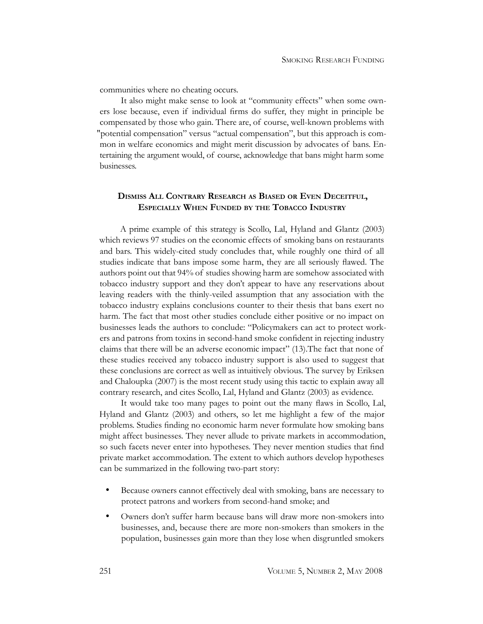communities where no cheating occurs.

It also might make sense to look at "community effects" when some owners lose because, even if individual firms do suffer, they might in principle be compensated by those who gain. There are, of course, well-known problems with "potential compensation" versus "actual compensation", but this approach is common in welfare economics and might merit discussion by advocates of bans. Entertaining the argument would, of course, acknowledge that bans might harm some businesses.

## **Dismiss All Contrary Research as Biased or Even Deceitful, Especially When Funded by the Tobacco Industry**

A prime example of this strategy is Scollo, Lal, Hyland and Glantz (2003) which reviews 97 studies on the economic effects of smoking bans on restaurants and bars. This widely-cited study concludes that, while roughly one third of all studies indicate that bans impose some harm, they are all seriously flawed. The authors point out that 94% of studies showing harm are somehow associated with tobacco industry support and they don't appear to have any reservations about leaving readers with the thinly-veiled assumption that any association with the tobacco industry explains conclusions counter to their thesis that bans exert no harm. The fact that most other studies conclude either positive or no impact on businesses leads the authors to conclude: "Policymakers can act to protect workers and patrons from toxins in second-hand smoke confident in rejecting industry claims that there will be an adverse economic impact" (13).The fact that none of these studies received any tobacco industry support is also used to suggest that these conclusions are correct as well as intuitively obvious. The survey by Eriksen and Chaloupka (2007) is the most recent study using this tactic to explain away all contrary research, and cites Scollo, Lal, Hyland and Glantz (2003) as evidence.

It would take too many pages to point out the many flaws in Scollo, Lal, Hyland and Glantz (2003) and others, so let me highlight a few of the major problems. Studies finding no economic harm never formulate how smoking bans might affect businesses. They never allude to private markets in accommodation, so such facets never enter into hypotheses. They never mention studies that find private market accommodation. The extent to which authors develop hypotheses can be summarized in the following two-part story:

- Because owners cannot effectively deal with smoking, bans are necessary to protect patrons and workers from second-hand smoke; and
- Owners don't suffer harm because bans will draw more non-smokers into businesses, and, because there are more non-smokers than smokers in the population, businesses gain more than they lose when disgruntled smokers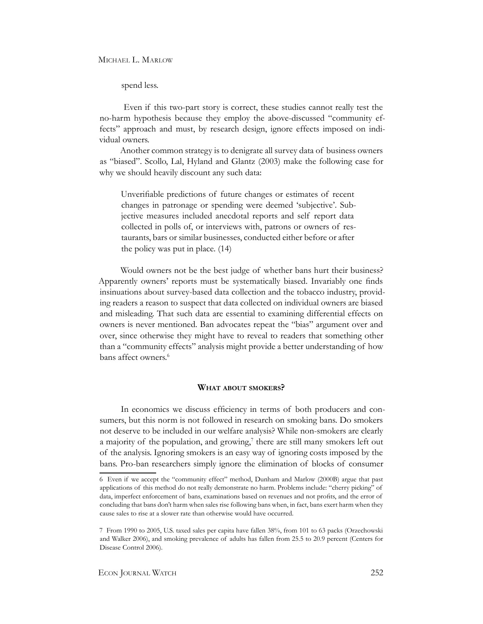spend less.

 Even if this two-part story is correct, these studies cannot really test the no-harm hypothesis because they employ the above-discussed "community effects" approach and must, by research design, ignore effects imposed on individual owners.

Another common strategy is to denigrate all survey data of business owners as "biased". Scollo, Lal, Hyland and Glantz (2003) make the following case for why we should heavily discount any such data:

Unverifiable predictions of future changes or estimates of recent changes in patronage or spending were deemed 'subjective'. Subjective measures included anecdotal reports and self report data collected in polls of, or interviews with, patrons or owners of restaurants, bars or similar businesses, conducted either before or after the policy was put in place. (14)

Would owners not be the best judge of whether bans hurt their business? Apparently owners' reports must be systematically biased. Invariably one finds insinuations about survey-based data collection and the tobacco industry, providing readers a reason to suspect that data collected on individual owners are biased and misleading. That such data are essential to examining differential effects on owners is never mentioned. Ban advocates repeat the "bias" argument over and over, since otherwise they might have to reveal to readers that something other than a "community effects" analysis might provide a better understanding of how bans affect owners.<sup>6</sup>

#### **What about smokers?**

In economics we discuss efficiency in terms of both producers and consumers, but this norm is not followed in research on smoking bans. Do smokers not deserve to be included in our welfare analysis? While non-smokers are clearly a majority of the population, and growing,<sup>7</sup> there are still many smokers left out of the analysis. Ignoring smokers is an easy way of ignoring costs imposed by the bans. Pro-ban researchers simply ignore the elimination of blocks of consumer

<sup>6</sup> Even if we accept the "community effect" method, Dunham and Marlow (2000B) argue that past applications of this method do not really demonstrate no harm. Problems include: "cherry picking" of data, imperfect enforcement of bans, examinations based on revenues and not profits, and the error of concluding that bans don't harm when sales rise following bans when, in fact, bans exert harm when they cause sales to rise at a slower rate than otherwise would have occurred.

<sup>7</sup> From 1990 to 2005, U.S. taxed sales per capita have fallen 38%, from 101 to 63 packs (Orzechowski and Walker 2006), and smoking prevalence of adults has fallen from 25.5 to 20.9 percent (Centers for Disease Control 2006).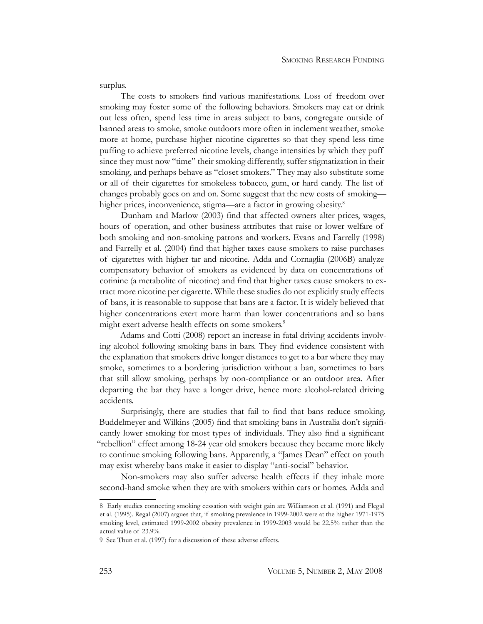surplus.

The costs to smokers find various manifestations. Loss of freedom over smoking may foster some of the following behaviors. Smokers may eat or drink out less often, spend less time in areas subject to bans, congregate outside of banned areas to smoke, smoke outdoors more often in inclement weather, smoke more at home, purchase higher nicotine cigarettes so that they spend less time puffing to achieve preferred nicotine levels, change intensities by which they puff since they must now "time" their smoking differently, suffer stigmatization in their smoking, and perhaps behave as "closet smokers." They may also substitute some or all of their cigarettes for smokeless tobacco, gum, or hard candy. The list of changes probably goes on and on. Some suggest that the new costs of smoking higher prices, inconvenience, stigma—are a factor in growing obesity.<sup>8</sup>

Dunham and Marlow (2003) find that affected owners alter prices, wages, hours of operation, and other business attributes that raise or lower welfare of both smoking and non-smoking patrons and workers. Evans and Farrelly (1998) and Farrelly et al. (2004) find that higher taxes cause smokers to raise purchases of cigarettes with higher tar and nicotine. Adda and Cornaglia (2006B) analyze compensatory behavior of smokers as evidenced by data on concentrations of cotinine (a metabolite of nicotine) and find that higher taxes cause smokers to extract more nicotine per cigarette. While these studies do not explicitly study effects of bans, it is reasonable to suppose that bans are a factor. It is widely believed that higher concentrations exert more harm than lower concentrations and so bans might exert adverse health effects on some smokers.<sup>9</sup>

Adams and Cotti (2008) report an increase in fatal driving accidents involving alcohol following smoking bans in bars. They find evidence consistent with the explanation that smokers drive longer distances to get to a bar where they may smoke, sometimes to a bordering jurisdiction without a ban, sometimes to bars that still allow smoking, perhaps by non-compliance or an outdoor area. After departing the bar they have a longer drive, hence more alcohol-related driving accidents.

Surprisingly, there are studies that fail to find that bans reduce smoking. Buddelmeyer and Wilkins (2005) find that smoking bans in Australia don't significantly lower smoking for most types of individuals. They also find a significant "rebellion" effect among 18-24 year old smokers because they became more likely to continue smoking following bans. Apparently, a "James Dean" effect on youth may exist whereby bans make it easier to display "anti-social" behavior.

Non-smokers may also suffer adverse health effects if they inhale more second-hand smoke when they are with smokers within cars or homes. Adda and

<sup>8</sup> Early studies connecting smoking cessation with weight gain are Williamson et al. (1991) and Flegal et al. (1995). Regal (2007) argues that, if smoking prevalence in 1999-2002 were at the higher 1971-1975 smoking level, estimated 1999-2002 obesity prevalence in 1999-2003 would be 22.5% rather than the actual value of 23.9%.

<sup>9</sup> See Thun et al. (1997) for a discussion of these adverse effects.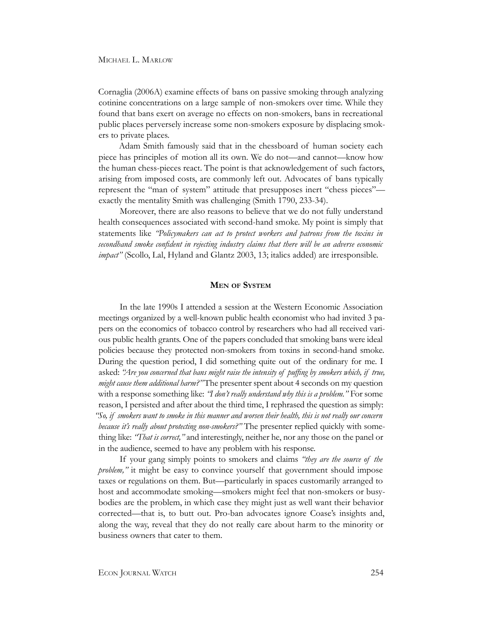Cornaglia (2006A) examine effects of bans on passive smoking through analyzing cotinine concentrations on a large sample of non-smokers over time. While they found that bans exert on average no effects on non-smokers, bans in recreational public places perversely increase some non-smokers exposure by displacing smokers to private places.

Adam Smith famously said that in the chessboard of human society each piece has principles of motion all its own. We do not—and cannot—know how the human chess-pieces react. The point is that acknowledgement of such factors, arising from imposed costs, are commonly left out. Advocates of bans typically represent the "man of system" attitude that presupposes inert "chess pieces" exactly the mentality Smith was challenging (Smith 1790, 233-34).

Moreover, there are also reasons to believe that we do not fully understand health consequences associated with second-hand smoke. My point is simply that statements like *"Policymakers can act to protect workers and patrons from the toxins in secondhand smoke confident in rejecting industry claims that there will be an adverse economic impact"* (Scollo, Lal, Hyland and Glantz 2003, 13; italics added) are irresponsible.

#### **Men of System**

In the late 1990s I attended a session at the Western Economic Association meetings organized by a well-known public health economist who had invited 3 papers on the economics of tobacco control by researchers who had all received various public health grants. One of the papers concluded that smoking bans were ideal policies because they protected non-smokers from toxins in second-hand smoke. During the question period, I did something quite out of the ordinary for me. I asked: *"Are you concerned that bans might raise the intensity of puffing by smokers which, if true, might cause them additional harm?"* The presenter spent about 4 seconds on my question with a response something like: *"I don't really understand why this is a problem."* For some reason, I persisted and after about the third time, I rephrased the question as simply: *"So, if smokers want to smoke in this manner and worsen their health, this is not really our concern because it's really about protecting non-smokers?"* The presenter replied quickly with something like: *"That is correct,"* and interestingly, neither he, nor any those on the panel or in the audience, seemed to have any problem with his response.

If your gang simply points to smokers and claims *"they are the source of the problem*," it might be easy to convince yourself that government should impose taxes or regulations on them. But—particularly in spaces customarily arranged to host and accommodate smoking—smokers might feel that non-smokers or busybodies are the problem, in which case they might just as well want their behavior corrected—that is, to butt out. Pro-ban advocates ignore Coase's insights and, along the way, reveal that they do not really care about harm to the minority or business owners that cater to them.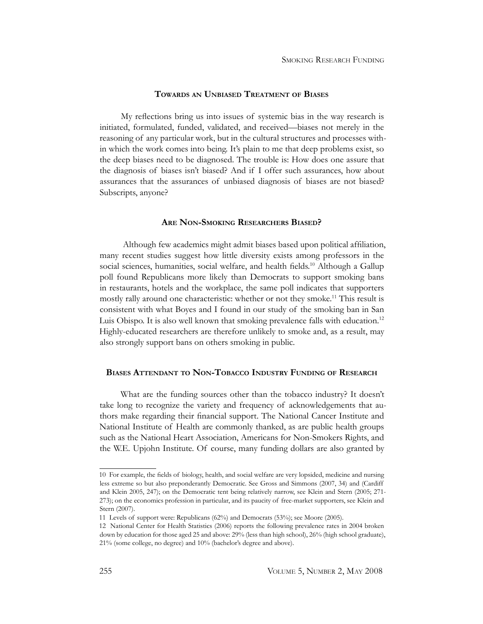#### **Towards an Unbiased Treatment of Biases**

My reflections bring us into issues of systemic bias in the way research is initiated, formulated, funded, validated, and received—biases not merely in the reasoning of any particular work, but in the cultural structures and processes within which the work comes into being. It's plain to me that deep problems exist, so the deep biases need to be diagnosed. The trouble is: How does one assure that the diagnosis of biases isn't biased? And if I offer such assurances, how about assurances that the assurances of unbiased diagnosis of biases are not biased? Subscripts, anyone?

#### **Are Non-Smoking Researchers Biased?**

 Although few academics might admit biases based upon political affiliation, many recent studies suggest how little diversity exists among professors in the social sciences, humanities, social welfare, and health fields.<sup>10</sup> Although a Gallup poll found Republicans more likely than Democrats to support smoking bans in restaurants, hotels and the workplace, the same poll indicates that supporters mostly rally around one characteristic: whether or not they smoke.<sup>11</sup> This result is consistent with what Boyes and I found in our study of the smoking ban in San Luis Obispo. It is also well known that smoking prevalence falls with education.<sup>12</sup> Highly-educated researchers are therefore unlikely to smoke and, as a result, may also strongly support bans on others smoking in public.

#### **Biases Attendant to Non-Tobacco Industry Funding of Research**

What are the funding sources other than the tobacco industry? It doesn't take long to recognize the variety and frequency of acknowledgements that authors make regarding their financial support. The National Cancer Institute and National Institute of Health are commonly thanked, as are public health groups such as the National Heart Association, Americans for Non-Smokers Rights, and the W.E. Upjohn Institute. Of course, many funding dollars are also granted by

<sup>10</sup> For example, the fields of biology, health, and social welfare are very lopsided, medicine and nursing less extreme so but also preponderantly Democratic. See Gross and Simmons (2007, 34) and (Cardiff and Klein 2005, 247); on the Democratic tent being relatively narrow, see Klein and Stern (2005; 271- 273); on the economics profession in particular, and its paucity of free-market supporters, see Klein and Stern (2007).

<sup>11</sup> Levels of support were: Republicans (62%) and Democrats (53%); see Moore (2005).

<sup>12</sup> National Center for Health Statistics (2006) reports the following prevalence rates in 2004 broken down by education for those aged 25 and above: 29% (less than high school), 26% (high school graduate), 21% (some college, no degree) and 10% (bachelor's degree and above).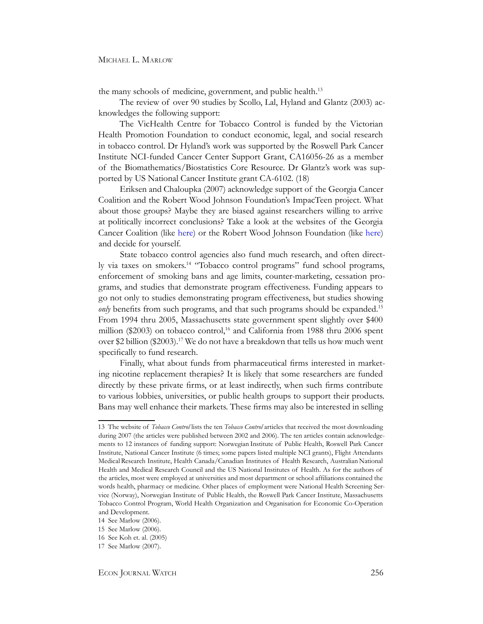the many schools of medicine, government, and public health.<sup>13</sup>

The review of over 90 studies by Scollo, Lal, Hyland and Glantz (2003) acknowledges the following support:

The VicHealth Centre for Tobacco Control is funded by the Victorian Health Promotion Foundation to conduct economic, legal, and social research in tobacco control. Dr Hyland's work was supported by the Roswell Park Cancer Institute NCI-funded Cancer Center Support Grant, CA16056-26 as a member of the Biomathematics/Biostatistics Core Resource. Dr Glantz's work was supported by US National Cancer Institute grant CA-6102. (18)

Eriksen and Chaloupka (2007) acknowledge support of the Georgia Cancer Coalition and the Robert Wood Johnson Foundation's ImpacTeen project. What about those groups? Maybe they are biased against researchers willing to arrive at politically incorrect conclusions? Take a look at the websites of the Georgia Cancer Coalition (like [here\)](http://www.georgiacancer.org/prev-tobacco.php) or the Robert Wood Johnson Foundation (like [here\)](http://www.rwjf.org/newsroom/tvhslist.jsp) and decide for yourself.

State tobacco control agencies also fund much research, and often directly via taxes on smokers.<sup>14</sup> "Tobacco control programs" fund school programs, enforcement of smoking bans and age limits, counter-marketing, cessation programs, and studies that demonstrate program effectiveness. Funding appears to go not only to studies demonstrating program effectiveness, but studies showing *only* benefits from such programs, and that such programs should be expanded.<sup>15</sup> From 1994 thru 2005, Massachusetts state government spent slightly over \$400 million (\$2003) on tobacco control,<sup>16</sup> and California from 1988 thru 2006 spent over \$2 billion (\$2003).17 We do not have a breakdown that tells us how much went specifically to fund research.

Finally, what about funds from pharmaceutical firms interested in marketing nicotine replacement therapies? It is likely that some researchers are funded directly by these private firms, or at least indirectly, when such firms contribute to various lobbies, universities, or public health groups to support their products. Bans may well enhance their markets. These firms may also be interested in selling

<sup>13</sup> The website of *Tobacco Control* lists the ten *Tobacco Control* articles that received the most downloading during 2007 (the articles were published between 2002 and 2006). The ten articles contain acknowledgements to 12 instances of funding support: Norwegian Institute of Public Health, Roswell Park Cancer Institute, National Cancer Institute (6 times; some papers listed multiple NCI grants), Flight Attendants MedicalResearch Institute, Health Canada/Canadian Institutes of Health Research, Australian National Health and Medical Research Council and the US National Institutes of Health. As for the authors of the articles, most were employed at universities and most department or school affiliations contained the words health, pharmacy or medicine. Other places of employment were National Health Screening Service (Norway), Norwegian Institute of Public Health, the Roswell Park Cancer Institute, Massachusetts Tobacco Control Program, World Health Organization and Organisation for Economic Co-Operation and Development.

<sup>14</sup> See Marlow (2006).

<sup>15</sup> See Marlow (2006).

<sup>16</sup> See Koh et. al. (2005)

<sup>17</sup> See Marlow (2007).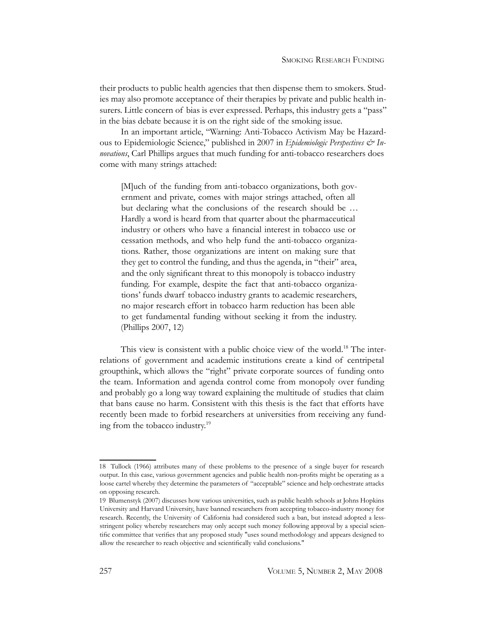their products to public health agencies that then dispense them to smokers. Studies may also promote acceptance of their therapies by private and public health insurers. Little concern of bias is ever expressed. Perhaps, this industry gets a "pass" in the bias debate because it is on the right side of the smoking issue.

In an important article, "Warning: Anti-Tobacco Activism May be Hazardous to Epidemiologic Science," published in 2007 in *Epidemiologic Perspectives & Innovations*, Carl Phillips argues that much funding for anti-tobacco researchers does come with many strings attached:

[M]uch of the funding from anti-tobacco organizations, both government and private, comes with major strings attached, often all but declaring what the conclusions of the research should be … Hardly a word is heard from that quarter about the pharmaceutical industry or others who have a financial interest in tobacco use or cessation methods, and who help fund the anti-tobacco organizations. Rather, those organizations are intent on making sure that they get to control the funding, and thus the agenda, in "their" area, and the only significant threat to this monopoly is tobacco industry funding. For example, despite the fact that anti-tobacco organizations' funds dwarf tobacco industry grants to academic researchers, no major research effort in tobacco harm reduction has been able to get fundamental funding without seeking it from the industry. (Phillips 2007, 12)

This view is consistent with a public choice view of the world.<sup>18</sup> The interrelations of government and academic institutions create a kind of centripetal groupthink, which allows the "right" private corporate sources of funding onto the team. Information and agenda control come from monopoly over funding and probably go a long way toward explaining the multitude of studies that claim that bans cause no harm. Consistent with this thesis is the fact that efforts have recently been made to forbid researchers at universities from receiving any funding from the tobacco industry.19

<sup>18</sup> Tullock (1966) attributes many of these problems to the presence of a single buyer for research output. In this case, various government agencies and public health non-profits might be operating as a loose cartel whereby they determine the parameters of "acceptable" science and help orchestrate attacks on opposing research.

<sup>19</sup> Blumenstyk (2007) discusses how various universities, such as public health schools at Johns Hopkins University and Harvard University, have banned researchers from accepting tobacco-industry money for research. Recently, the University of California had considered such a ban, but instead adopted a lessstringent policy whereby researchers may only accept such money following approval by a special scientific committee that verifies that any proposed study "uses sound methodology and appears designed to allow the researcher to reach objective and scientifically valid conclusions."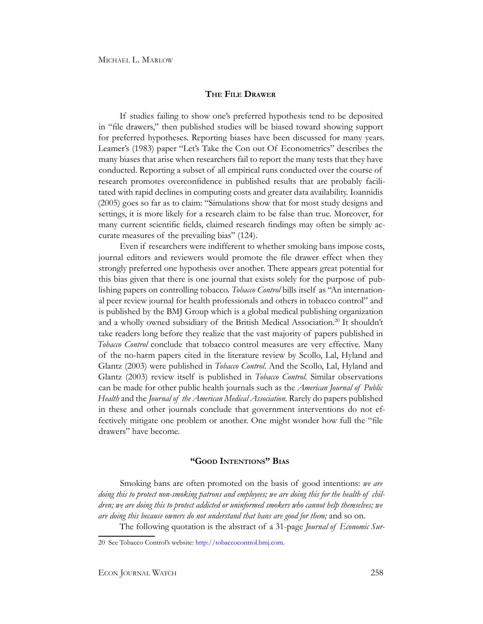#### **The File Drawer**

If studies failing to show one's preferred hypothesis tend to be deposited in "file drawers," then published studies will be biased toward showing support for preferred hypotheses. Reporting biases have been discussed for many years. Leamer's (1983) paper "Let's Take the Con out Of Econometrics" describes the many biases that arise when researchers fail to report the many tests that they have conducted. Reporting a subset of all empirical runs conducted over the course of research promotes overconfidence in published results that are probably facilitated with rapid declines in computing costs and greater data availability. Ioannidis (2005) goes so far as to claim: "Simulations show that for most study designs and settings, it is more likely for a research claim to be false than true. Moreover, for many current scientific fields, claimed research findings may often be simply accurate measures of the prevailing bias" (124).

Even if researchers were indifferent to whether smoking bans impose costs, journal editors and reviewers would promote the file drawer effect when they strongly preferred one hypothesis over another. There appears great potential for this bias given that there is one journal that exists solely for the purpose of publishing papers on controlling tobacco. *Tobacco Control* bills itself as "An international peer review journal for health professionals and others in tobacco control" and is published by the BMJ Group which is a global medical publishing organization and a wholly owned subsidiary of the British Medical Association.20 It shouldn't take readers long before they realize that the vast majority of papers published in *Tobacco Control* conclude that tobacco control measures are very effective. Many of the no-harm papers cited in the literature review by Scollo, Lal, Hyland and Glantz (2003) were published in *Tobacco Control*. And the Scollo, Lal, Hyland and Glantz (2003) review itself is published in *Tobacco Control*. Similar observations can be made for other public health journals such as the *American Journal of Public Health* and the *Journal of the American Medical Association*. Rarely do papers published in these and other journals conclude that government interventions do not effectively mitigate one problem or another. One might wonder how full the "file drawers" have become.

#### **"Good Intentions" Bias**

Smoking bans are often promoted on the basis of good intentions: *we are doing this to protect non-smoking patrons and employees; we are doing this for the health of children; we are doing this to protect addicted or uninformed smokers who cannot help themselves; we are doing this because owners do not understand that bans are good for them;* and so on.

The following quotation is the abstract of a 31-page *Journal of Economic Sur-*

<sup>20</sup> See Tobacco Control's website: [http://tobaccocontrol.bmj.com.](http://tobaccocontrol.bmj.com)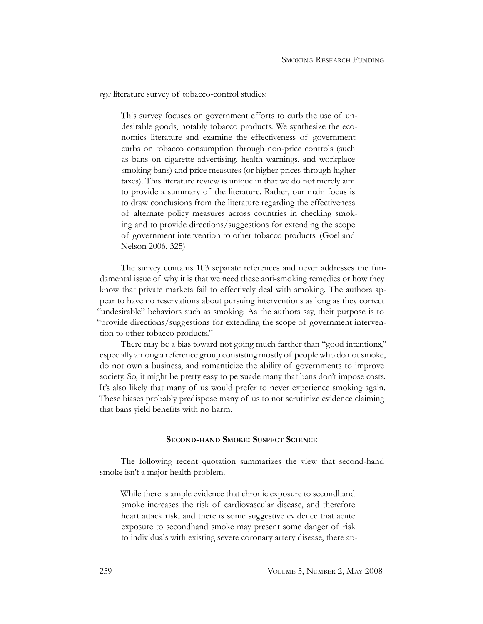*veys* literature survey of tobacco-control studies:

This survey focuses on government efforts to curb the use of undesirable goods, notably tobacco products. We synthesize the economics literature and examine the effectiveness of government curbs on tobacco consumption through non-price controls (such as bans on cigarette advertising, health warnings, and workplace smoking bans) and price measures (or higher prices through higher taxes). This literature review is unique in that we do not merely aim to provide a summary of the literature. Rather, our main focus is to draw conclusions from the literature regarding the effectiveness of alternate policy measures across countries in checking smoking and to provide directions/suggestions for extending the scope of government intervention to other tobacco products. (Goel and Nelson 2006, 325)

The survey contains 103 separate references and never addresses the fundamental issue of why it is that we need these anti-smoking remedies or how they know that private markets fail to effectively deal with smoking. The authors appear to have no reservations about pursuing interventions as long as they correct "undesirable" behaviors such as smoking. As the authors say, their purpose is to "provide directions/suggestions for extending the scope of government intervention to other tobacco products."

There may be a bias toward not going much farther than "good intentions," especially among a reference group consisting mostly of people who do not smoke, do not own a business, and romanticize the ability of governments to improve society. So, it might be pretty easy to persuade many that bans don't impose costs. It's also likely that many of us would prefer to never experience smoking again. These biases probably predispose many of us to not scrutinize evidence claiming that bans yield benefits with no harm.

#### **Second-hand Smoke: Suspect Science**

The following recent quotation summarizes the view that second-hand smoke isn't a major health problem.

While there is ample evidence that chronic exposure to secondhand smoke increases the risk of cardiovascular disease, and therefore heart attack risk, and there is some suggestive evidence that acute exposure to secondhand smoke may present some danger of risk to individuals with existing severe coronary artery disease, there ap-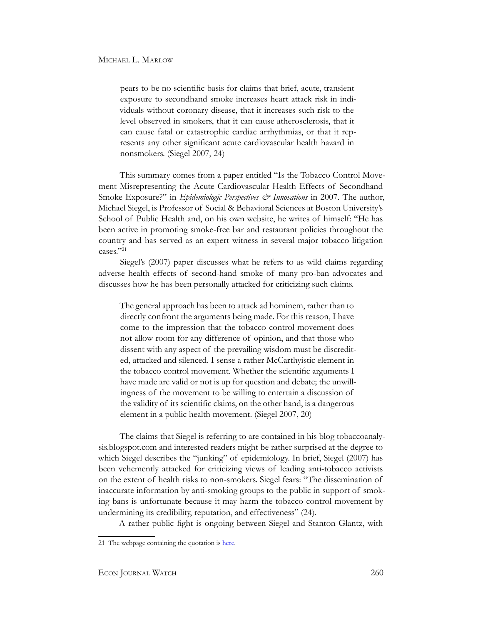pears to be no scientific basis for claims that brief, acute, transient exposure to secondhand smoke increases heart attack risk in individuals without coronary disease, that it increases such risk to the level observed in smokers, that it can cause atherosclerosis, that it can cause fatal or catastrophic cardiac arrhythmias, or that it represents any other significant acute cardiovascular health hazard in nonsmokers. (Siegel 2007, 24)

This summary comes from a paper entitled "Is the Tobacco Control Movement Misrepresenting the Acute Cardiovascular Health Effects of Secondhand Smoke Exposure?" in *Epidemiologic Perspectives*  $\mathcal{C}^*$  *Innovations* in 2007. The author, Michael Siegel, is Professor of Social & Behavioral Sciences at Boston University's School of Public Health and, on his own website, he writes of himself: "He has been active in promoting smoke-free bar and restaurant policies throughout the country and has served as an expert witness in several major tobacco litigation cases."21

Siegel's (2007) paper discusses what he refers to as wild claims regarding adverse health effects of second-hand smoke of many pro-ban advocates and discusses how he has been personally attacked for criticizing such claims.

The general approach has been to attack ad hominem, rather than to directly confront the arguments being made. For this reason, I have come to the impression that the tobacco control movement does not allow room for any difference of opinion, and that those who dissent with any aspect of the prevailing wisdom must be discredited, attacked and silenced. I sense a rather McCarthyistic element in the tobacco control movement. Whether the scientific arguments I have made are valid or not is up for question and debate; the unwillingness of the movement to be willing to entertain a discussion of the validity of its scientific claims, on the other hand, is a dangerous element in a public health movement. (Siegel 2007, 20)

The claims that Siegel is referring to are contained in his blog tobaccoanalysis.blogspot.com and interested readers might be rather surprised at the degree to which Siegel describes the "junking" of epidemiology. In brief, Siegel (2007) has been vehemently attacked for criticizing views of leading anti-tobacco activists on the extent of health risks to non-smokers. Siegel fears: "The dissemination of inaccurate information by anti-smoking groups to the public in support of smoking bans is unfortunate because it may harm the tobacco control movement by undermining its credibility, reputation, and effectiveness" (24).

A rather public fight is ongoing between Siegel and Stanton Glantz, with

<sup>21</sup> The webpage containing the quotation is [here.](http://sph.bu.edu/index.php?option=com_sphdir&id=239&Itemid=340&INDEX=677)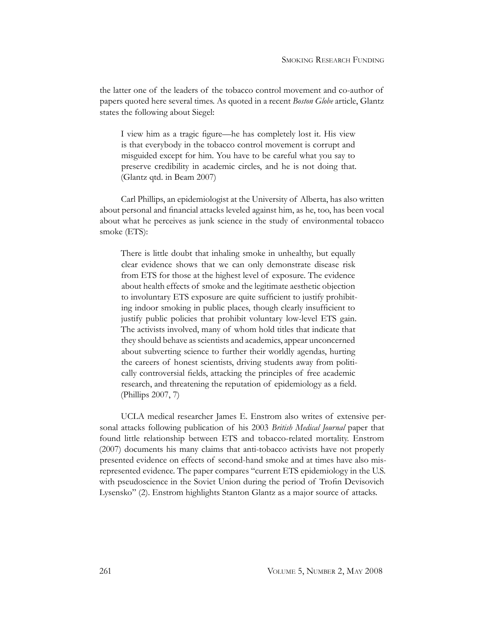the latter one of the leaders of the tobacco control movement and co-author of papers quoted here several times. As quoted in a recent *Boston Globe* article, Glantz states the following about Siegel:

I view him as a tragic figure—he has completely lost it. His view is that everybody in the tobacco control movement is corrupt and misguided except for him. You have to be careful what you say to preserve credibility in academic circles, and he is not doing that. (Glantz qtd. in Beam 2007)

Carl Phillips, an epidemiologist at the University of Alberta, has also written about personal and financial attacks leveled against him, as he, too, has been vocal about what he perceives as junk science in the study of environmental tobacco smoke (ETS):

There is little doubt that inhaling smoke in unhealthy, but equally clear evidence shows that we can only demonstrate disease risk from ETS for those at the highest level of exposure. The evidence about health effects of smoke and the legitimate aesthetic objection to involuntary ETS exposure are quite sufficient to justify prohibiting indoor smoking in public places, though clearly insufficient to justify public policies that prohibit voluntary low-level ETS gain. The activists involved, many of whom hold titles that indicate that they should behave as scientists and academics, appear unconcerned about subverting science to further their worldly agendas, hurting the careers of honest scientists, driving students away from politically controversial fields, attacking the principles of free academic research, and threatening the reputation of epidemiology as a field. (Phillips 2007, 7)

UCLA medical researcher James E. Enstrom also writes of extensive personal attacks following publication of his 2003 *British Medical Journal* paper that found little relationship between ETS and tobacco-related mortality. Enstrom (2007) documents his many claims that anti-tobacco activists have not properly presented evidence on effects of second-hand smoke and at times have also misrepresented evidence. The paper compares "current ETS epidemiology in the U.S. with pseudoscience in the Soviet Union during the period of Trofin Devisovich Lysensko" (2). Enstrom highlights Stanton Glantz as a major source of attacks.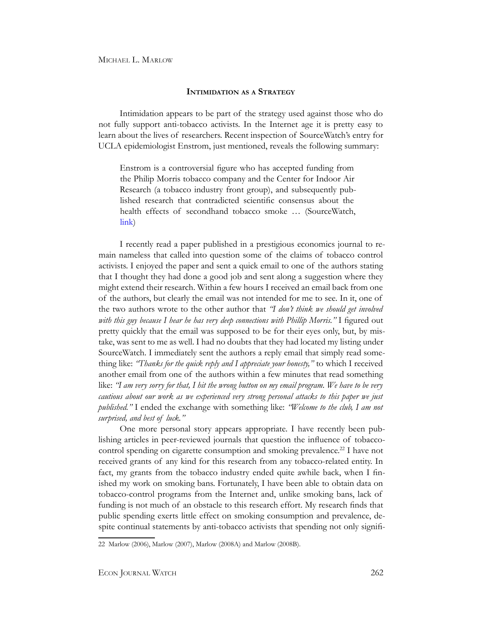#### **Intimidation as <sup>a</sup> Strategy**

Intimidation appears to be part of the strategy used against those who do not fully support anti-tobacco activists. In the Internet age it is pretty easy to learn about the lives of researchers. Recent inspection of SourceWatch's entry for UCLA epidemiologist Enstrom, just mentioned, reveals the following summary:

Enstrom is a controversial figure who has accepted funding from the Philip Morris tobacco company and the Center for Indoor Air Research (a tobacco industry front group), and subsequently published research that contradicted scientific consensus about the health effects of secondhand tobacco smoke … (SourceWatch, [link\)](http://www.sourcewatch.org/index.php?title=James_E._Enstrom)

I recently read a paper published in a prestigious economics journal to remain nameless that called into question some of the claims of tobacco control activists. I enjoyed the paper and sent a quick email to one of the authors stating that I thought they had done a good job and sent along a suggestion where they might extend their research. Within a few hours I received an email back from one of the authors, but clearly the email was not intended for me to see. In it, one of the two authors wrote to the other author that *"I don't think we should get involved*  with this guy because I hear he has very deep connections with Phillip Morris." I figured out pretty quickly that the email was supposed to be for their eyes only, but, by mistake, was sent to me as well. I had no doubts that they had located my listing under SourceWatch. I immediately sent the authors a reply email that simply read something like: *"Thanks for the quick reply and I appreciate your honesty,"* to which I received another email from one of the authors within a few minutes that read something like: *"I am very sorry for that, I hit the wrong button on my email program. We have to be very cautious about our work as we experienced very strong personal attacks to this paper we just published."* I ended the exchange with something like: *"Welcome to the club, I am not surprised, and best of luck."*

One more personal story appears appropriate. I have recently been publishing articles in peer-reviewed journals that question the influence of tobaccocontrol spending on cigarette consumption and smoking prevalence.<sup>22</sup> I have not received grants of any kind for this research from any tobacco-related entity. In fact, my grants from the tobacco industry ended quite awhile back, when I finished my work on smoking bans. Fortunately, I have been able to obtain data on tobacco-control programs from the Internet and, unlike smoking bans, lack of funding is not much of an obstacle to this research effort. My research finds that public spending exerts little effect on smoking consumption and prevalence, despite continual statements by anti-tobacco activists that spending not only signifi-

<sup>22</sup> Marlow (2006), Marlow (2007), Marlow (2008A) and Marlow (2008B).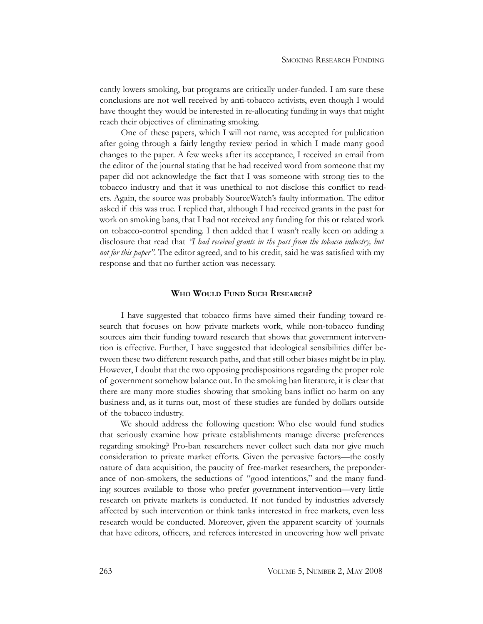cantly lowers smoking, but programs are critically under-funded. I am sure these conclusions are not well received by anti-tobacco activists, even though I would have thought they would be interested in re-allocating funding in ways that might reach their objectives of eliminating smoking.

One of these papers, which I will not name, was accepted for publication after going through a fairly lengthy review period in which I made many good changes to the paper. A few weeks after its acceptance, I received an email from the editor of the journal stating that he had received word from someone that my paper did not acknowledge the fact that I was someone with strong ties to the tobacco industry and that it was unethical to not disclose this conflict to readers. Again, the source was probably SourceWatch's faulty information. The editor asked if this was true. I replied that, although I had received grants in the past for work on smoking bans, that I had not received any funding for this or related work on tobacco-control spending. I then added that I wasn't really keen on adding a disclosure that read that *"I had received grants in the past from the tobacco industry, but not for this paper"*. The editor agreed, and to his credit, said he was satisfied with my response and that no further action was necessary.

#### **Who Would Fund Such Research?**

I have suggested that tobacco firms have aimed their funding toward research that focuses on how private markets work, while non-tobacco funding sources aim their funding toward research that shows that government intervention is effective. Further, I have suggested that ideological sensibilities differ between these two different research paths, and that still other biases might be in play. However, I doubt that the two opposing predispositions regarding the proper role of government somehow balance out. In the smoking ban literature, it is clear that there are many more studies showing that smoking bans inflict no harm on any business and, as it turns out, most of these studies are funded by dollars outside of the tobacco industry.

We should address the following question: Who else would fund studies that seriously examine how private establishments manage diverse preferences regarding smoking? Pro-ban researchers never collect such data nor give much consideration to private market efforts. Given the pervasive factors—the costly nature of data acquisition, the paucity of free-market researchers, the preponderance of non-smokers, the seductions of "good intentions," and the many funding sources available to those who prefer government intervention—very little research on private markets is conducted. If not funded by industries adversely affected by such intervention or think tanks interested in free markets, even less research would be conducted. Moreover, given the apparent scarcity of journals that have editors, officers, and referees interested in uncovering how well private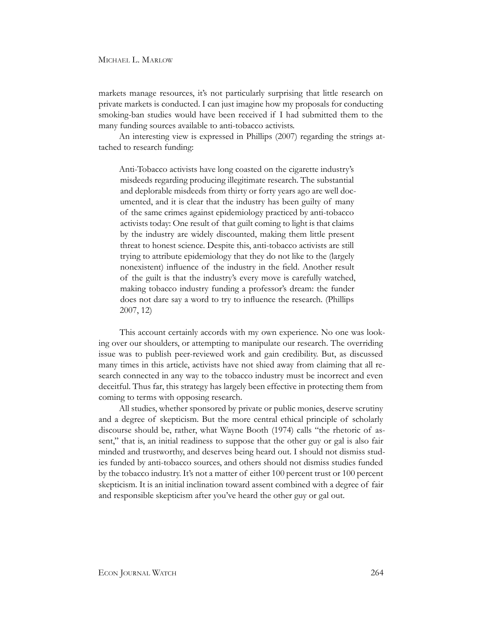markets manage resources, it's not particularly surprising that little research on private markets is conducted. I can just imagine how my proposals for conducting smoking-ban studies would have been received if I had submitted them to the many funding sources available to anti-tobacco activists.

An interesting view is expressed in Phillips (2007) regarding the strings attached to research funding:

Anti-Tobacco activists have long coasted on the cigarette industry's misdeeds regarding producing illegitimate research. The substantial and deplorable misdeeds from thirty or forty years ago are well documented, and it is clear that the industry has been guilty of many of the same crimes against epidemiology practiced by anti-tobacco activists today: One result of that guilt coming to light is that claims by the industry are widely discounted, making them little present threat to honest science. Despite this, anti-tobacco activists are still trying to attribute epidemiology that they do not like to the (largely nonexistent) influence of the industry in the field. Another result of the guilt is that the industry's every move is carefully watched, making tobacco industry funding a professor's dream: the funder does not dare say a word to try to influence the research. (Phillips 2007, 12)

This account certainly accords with my own experience. No one was looking over our shoulders, or attempting to manipulate our research. The overriding issue was to publish peer-reviewed work and gain credibility. But, as discussed many times in this article, activists have not shied away from claiming that all research connected in any way to the tobacco industry must be incorrect and even deceitful. Thus far, this strategy has largely been effective in protecting them from coming to terms with opposing research.

All studies, whether sponsored by private or public monies, deserve scrutiny and a degree of skepticism. But the more central ethical principle of scholarly discourse should be, rather, what Wayne Booth (1974) calls "the rhetoric of assent," that is, an initial readiness to suppose that the other guy or gal is also fair minded and trustworthy, and deserves being heard out. I should not dismiss studies funded by anti-tobacco sources, and others should not dismiss studies funded by the tobacco industry. It's not a matter of either 100 percent trust or 100 percent skepticism. It is an initial inclination toward assent combined with a degree of fair and responsible skepticism after you've heard the other guy or gal out.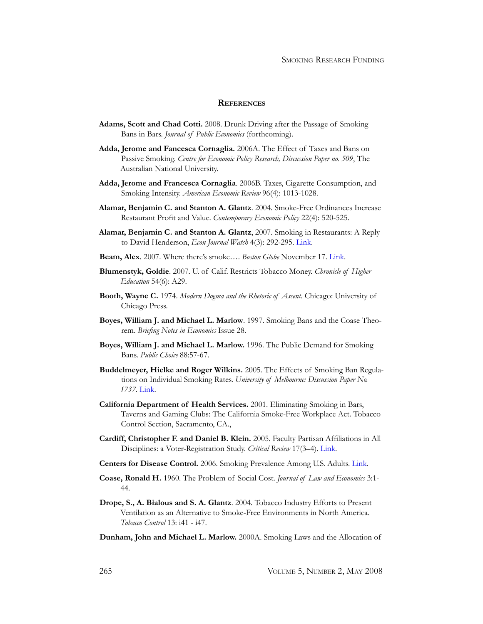#### **References**

- **Adams, Scott and Chad Cotti.** 2008. Drunk Driving after the Passage of Smoking Bans in Bars. *Journal of Public Economics* (forthcoming).
- **Adda, Jerome and Fancesca Cornaglia.** 2006A. The Effect of Taxes and Bans on Passive Smoking. *Centre for Economic Policy Research, Discussion Paper no. 509*, The Australian National University.
- **Adda, Jerome and Francesca Cornaglia**. 2006B. Taxes, Cigarette Consumption, and Smoking Intensity. *American Economic Review* 96(4): 1013-1028.
- **Alamar, Benjamin C. and Stanton A. Glantz**. 2004. Smoke-Free Ordinances Increase Restaurant Profit and Value. *Contemporary Economic Policy* 22(4): 520-525.
- **Alamar, Benjamin C. and Stanton A. Glantz**, 2007. Smoking in Restaurants: A Reply to David Henderson, *Econ Journal Watch* 4(3): 292-295. [Link](http://www.econjournalwatch.org/pdf/AlamarGlantzReplySeptember2007.pdf).
- **Beam, Alex**. 2007. Where there's smoke…. *Boston Globe* November 17. [Link](http://www.boston.com/news/health/articles/2007/11/14/where_theres_smoke/).
- **Blumenstyk, Goldie**. 2007. U. of Calif. Restricts Tobacco Money. *Chronicle of Higher Education* 54(6): A29.
- **Booth, Wayne C.** 1974. *Modern Dogma and the Rhetoric of Assent*. Chicago: University of Chicago Press.
- **Boyes, William J. and Michael L. Marlow**. 1997. Smoking Bans and the Coase Theorem. *Briefing Notes in Economics* Issue 28.
- **Boyes, William J. and Michael L. Marlow.** 1996. The Public Demand for Smoking Bans. *Public Choice* 88:57-67.
- **Buddelmeyer, Hielke and Roger Wilkins.** 2005. The Effects of Smoking Ban Regulations on Individual Smoking Rates. *University of Melbourne: Discussion Paper No. 1737*. [Link.](http://papers.ssrn.com/sol3/papers.cfm?abstract_id=807466)
- **California Department of Health Services.** 2001. Eliminating Smoking in Bars, Taverns and Gaming Clubs: The California Smoke-Free Workplace Act. Tobacco Control Section, Sacramento, CA.,
- **Cardiff, Christopher F. and Daniel B. Klein.** 2005. Faculty Partisan Affiliations in All Disciplines: a Voter-Registration Study. *Critical Review* 17(3–4). [Link](http://www.criticalreview.com/2004/pdfs/cardiff_klein.pdf).
- **Centers for Disease Control.** 2006. Smoking Prevalence Among U.S. Adults. [Link](http://www.cdc.gov/mmwr/preview/mmwrhtml/mm5644a2.htm).
- **Coase, Ronald H.** 1960. The Problem of Social Cost. *Journal of Law and Economics* 3:1- 44.
- **Drope, S., A. Bialous and S. A. Glantz**. 2004. Tobacco Industry Efforts to Present Ventilation as an Alternative to Smoke-Free Environments in North America. *Tobacco Control* 13: i41 - i47.
- **Dunham, John and Michael L. Marlow.** 2000A. Smoking Laws and the Allocation of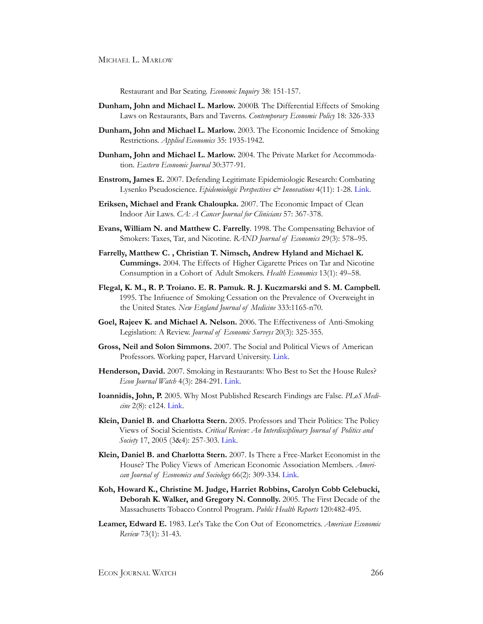Restaurant and Bar Seating. *Economic Inquiry* 38: 151-157.

- **Dunham, John and Michael L. Marlow.** 2000B. The Differential Effects of Smoking Laws on Restaurants, Bars and Taverns. *Contemporary Economic Policy* 18: 326-333
- **Dunham, John and Michael L. Marlow.** 2003. The Economic Incidence of Smoking Restrictions. *Applied Economics* 35: 1935-1942.
- **Dunham, John and Michael L. Marlow.** 2004. The Private Market for Accommodation. *Eastern Economic Journal* 30:377-91.
- **Enstrom, James E.** 2007. Defending Legitimate Epidemiologic Research: Combating Lysenko Pseudoscience. *Epidemiologic Perspectives & Innovations* 4(11): 1-28. [Link](http://www.epi-perspectives.com/content/pdf/1742-5573-4-11.pdf).
- **Eriksen, Michael and Frank Chaloupka.** 2007. The Economic Impact of Clean Indoor Air Laws. *CA: A Cancer Journal for Clinicians* 57: 367-378.
- **Evans, William N. and Matthew C. Farrelly**. 1998. The Compensating Behavior of Smokers: Taxes, Tar, and Nicotine. *RAND Journal of Economics* 29(3): 578–95.
- **Farrelly, Matthew C. , Christian T. Nimsch, Andrew Hyland and Michael K. Cummings.** 2004. The Effects of Higher Cigarette Prices on Tar and Nicotine Consumption in a Cohort of Adult Smokers. *Health Economics* 13(1): 49–58.
- **Flegal, K. M., R. P. Troiano. E. R. Pamuk. R. J. Kuczmarski and S. M. Campbell.** 1995. The Infiuence of Smoking Cessation on the Prevalence of Overweight in the United States. *New England Journal of Medicine* 333:1165-n70.
- **Goel, Rajeev K. and Michael A. Nelson.** 2006. The Effectiveness of Anti-Smoking Legislation: A Review. *Journal of Economic Surveys* 20(3): 325-355.
- **Gross, Neil and Solon Simmons.** 2007. The Social and Political Views of American Professors. Working paper, Harvard University. [Link.](http://www.wjh.harvard.edu/~ngross/lounsbery_9-25.pdf)
- **Henderson, David.** 2007. Smoking in Restaurants: Who Best to Set the House Rules? *Econ Journal Watch* 4(3): 284-291. [Link](http://www.econjournalwatch.org/pdf/HendersonCommentSeptember2007.pdf).
- **Ioannidis, John, P.** 2005. Why Most Published Research Findings are False. *PLoS Medicine* 2(8): e124. [Link](http://medicine.plosjournals.org/perlserv/?request=get-document&doi=10.1371%2Fjournal.pmed.0020124&ct=1).
- **Klein, Daniel B. and Charlotta Stern.** 2005. Professors and Their Politics: The Policy Views of Social Scientists. *Critical Review: An Interdisciplinary Journal of Politics and Society* 17, 2005 (3&4): 257-303. [Link](http://www.criticalreview.com/2004/pdfs/klein_stern.pdf).
- **Klein, Daniel B. and Charlotta Stern.** 2007. Is There a Free-Market Economist in the House? The Policy Views of American Economic Association Members. *American Journal of Economics and Sociology* 66(2): 309-334. [Link.](http://www.gmu.edu/departments/economics/klein/PdfPapers/Klein-Stern AJES 2007.pdf)
- **Koh, Howard K., Christine M. Judge, Harriet Robbins, Carolyn Cobb Celebucki, Deborah K. Walker, and Gregory N. Connolly.** 2005. The First Decade of the Massachusetts Tobacco Control Program. *Public Health Reports* 120:482-495.
- **Leamer, Edward E.** 1983. Let's Take the Con Out of Econometrics. *American Economic Review* 73(1): 31-43.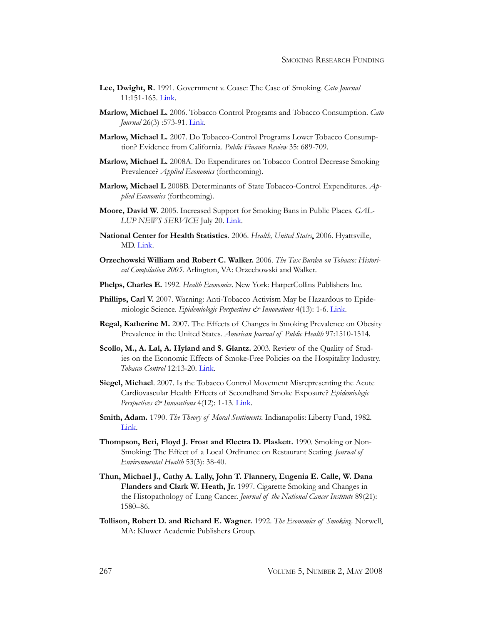- **Lee, Dwight, R.** 1991. Government v. Coase: The Case of Smoking. *Cato Journal* 11:151-165. [Link](http://www.cato.org/pubs/journal/cj11n1/cj11n1-11.pdf).
- **Marlow, Michael L.** 2006. Tobacco Control Programs and Tobacco Consumption. *Cato Journal* 26(3) :573-91. [Link.](http://www.cato.org/pubs/journal/cj26n3/cj26n3-10.pdf)
- **Marlow, Michael L.** 2007. Do Tobacco-Control Programs Lower Tobacco Consumption? Evidence from California. *Public Finance Review* 35: 689-709.
- **Marlow, Michael L.** 2008A. Do Expenditures on Tobacco Control Decrease Smoking Prevalence? *Applied Economics* (forthcoming).
- **Marlow, Michael L** 2008B. Determinants of State Tobacco-Control Expenditures. *Applied Economics* (forthcoming).
- **Moore, David W.** 2005. Increased Support for Smoking Bans in Public Places. *GAL-LUP NEWS SERVICE* July 20. [Link.](http://www.gallup.com/poll/17410/Increased-Support-Smoking-Bans-Public-Places.aspx)
- **National Center for Health Statistics**. 2006. *Health, United States*, 2006. Hyattsville, MD. [Link](http://www.cdc.gov/nchs/data/hus/hus06.pdf).
- **Orzechowski William and Robert C. Walker.** 2006. *The Tax Burden on Tobacco: Historical Compilation 2005*. Arlington, VA: Orzechowski and Walker.
- **Phelps, Charles E.** 1992. *Health Economics*. New York: HarperCollins Publishers Inc.
- **Phillips, Carl V.** 2007. Warning: Anti-Tobacco Activism May be Hazardous to Epidemiologic Science. *Epidemiologic Perspectives & Innovations* 4(13): 1-6. [Link](http://www.epi-perspectives.com/content/pdf/1742-5573-4-13.pdf).
- **Regal, Katherine M.** 2007. The Effects of Changes in Smoking Prevalence on Obesity Prevalence in the United States. *American Journal of Public Health* 97:1510-1514.
- **Scollo, M., A. Lal, A. Hyland and S. Glantz.** 2003. Review of the Quality of Studies on the Economic Effects of Smoke-Free Policies on the Hospitality Industry. *Tobacco Control* 12:13-20. [Link.](http://www.tobaccoscam.ucsf.edu/pdf/scollotc.pdf)
- **Siegel, Michael**. 2007. Is the Tobacco Control Movement Misrepresenting the Acute Cardiovascular Health Effects of Secondhand Smoke Exposure? *Epidemiologic Perspectives & Innovations* 4(12): 1-13. [Link.](http://www.epi-perspectives.com/content/pdf/1742-5573-4-12.pdf)
- **Smith, Adam.** 1790. *The Theory of Moral Sentiments*. Indianapolis: Liberty Fund, 1982. [Link](http://www.econlib.org/library/Smith/smMS.html).
- **Thompson, Beti, Floyd J. Frost and Electra D. Plaskett.** 1990. Smoking or Non-Smoking: The Effect of a Local Ordinance on Restaurant Seating. *Journal of Environmental Health* 53(3): 38-40.
- **Thun, Michael J., Cathy A. Lally, John T. Flannery, Eugenia E. Calle, W. Dana Flanders and Clark W. Heath, Jr.** 1997. Cigarette Smoking and Changes in the Histopathology of Lung Cancer. *Journal of the National Cancer Institute* 89(21): 1580–86.
- **Tollison, Robert D. and Richard E. Wagner.** 1992. *The Economics of Smoking.* Norwell, MA: Kluwer Academic Publishers Group.